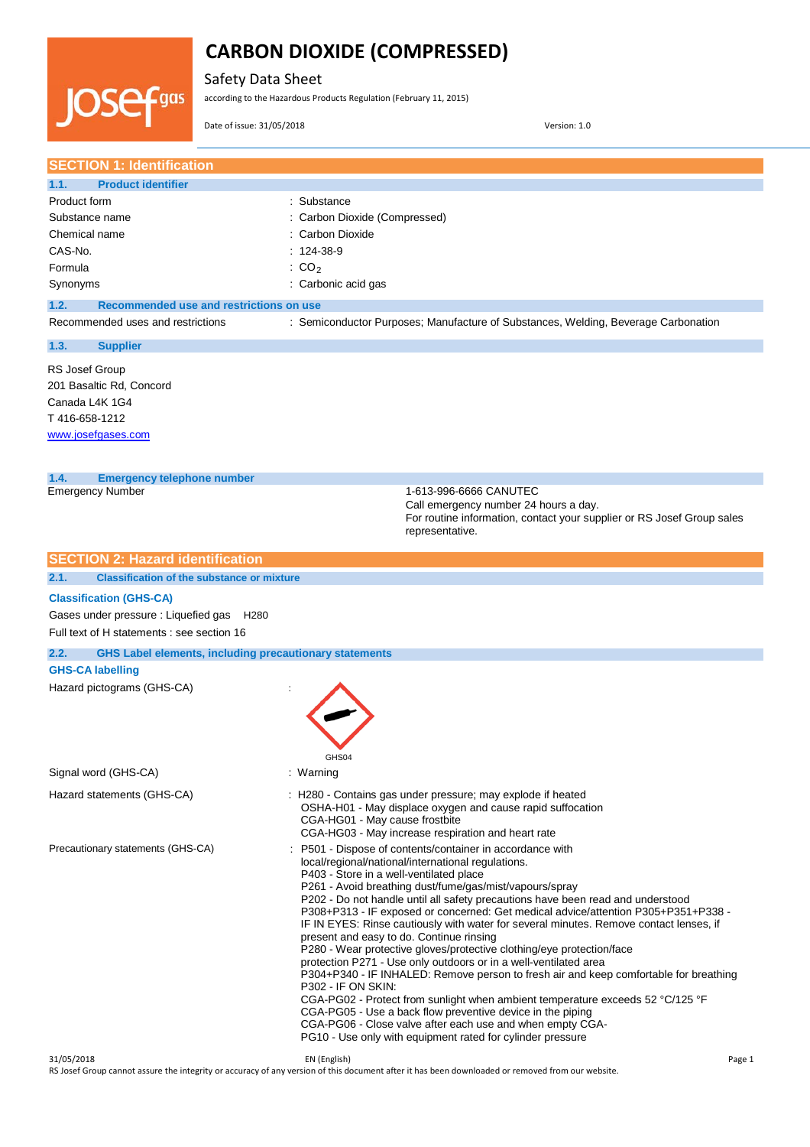Safety Data Sheet

according to the Hazardous Products Regulation (February 11, 2015)

Date of issue: 31/05/2018 Version: 1.0

qas

**SECTION 1: Identification 1.1. Product identifier** Product form **: Substance** : Substance Substance name : Carbon Dioxide (Compressed) Chemical name : Carbon Dioxide CAS-No. : 124-38-9 Formula  $\qquad \qquad : \text{CO}_2$ Synonyms : Carbonic acid gas **1.2. Recommended use and restrictions on use** Recommended uses and restrictions : Semiconductor Purposes; Manufacture of Substances, Welding, Beverage Carbonation **1.3. Supplier** RS Josef Group 201 Basaltic Rd, Concord Canada L4K 1G4 T 416-658-1212 [www.josefgases.com](http://www.josefgases.com/) **1.4. Emergency telephone number** Emergency Number 1-613-996-6666 CANUTEC Call emergency number 24 hours a day. For routine information, contact your supplier or RS Josef Group sales representative. **SECTION 2: Hazard identification 2.1. Classification of the substance or mixture Classification (GHS-CA)** Gases under pressure : Liquefied gas H280 Full text of H statements : see section 16 **2.2. GHS Label elements, including precautionary statements GHS-CA labelling** Hazard pictograms (GHS-CA) : GHS<sub>04</sub> Signal word (GHS-CA) : Warning Hazard statements (GHS-CA) : H280 - Contains gas under pressure; may explode if heated OSHA-H01 - May displace oxygen and cause rapid suffocation CGA-HG01 - May cause frostbite CGA-HG03 - May increase respiration and heart rate Precautionary statements (GHS-CA) : P501 - Dispose of contents/container in accordance with local/regional/national/international regulations. P403 - Store in a well-ventilated place P261 - Avoid breathing dust/fume/gas/mist/vapours/spray P202 - Do not handle until all safety precautions have been read and understood P308+P313 - IF exposed or concerned: Get medical advice/attention P305+P351+P338 - IF IN EYES: Rinse cautiously with water for several minutes. Remove contact lenses, if present and easy to do. Continue rinsing P280 - Wear protective gloves/protective clothing/eye protection/face protection P271 - Use only outdoors or in a well-ventilated area P304+P340 - IF INHALED: Remove person to fresh air and keep comfortable for breathing P302 - IF ON SKIN: CGA-PG02 - Protect from sunlight when ambient temperature exceeds 52 °C/125 °F CGA-PG05 - Use a back flow preventive device in the piping CGA-PG06 - Close valve after each use and when empty CGA-PG10 - Use only with equipment rated for cylinder pressure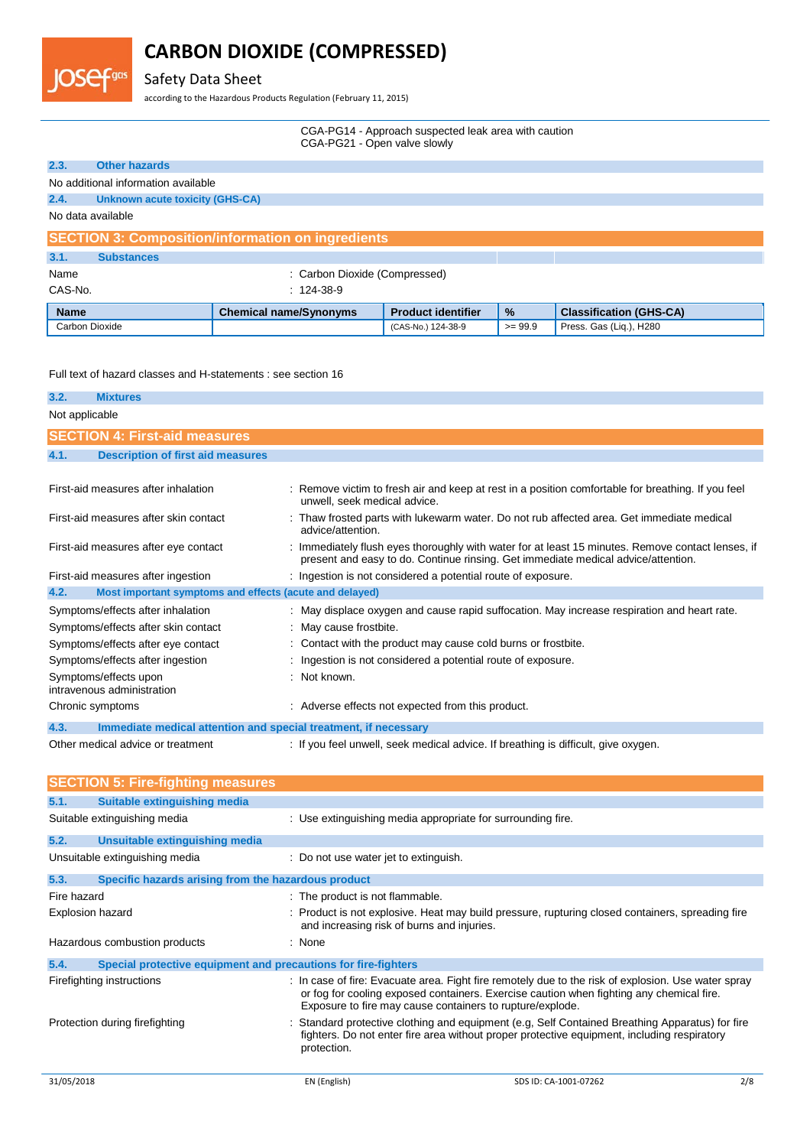# Safety Data Sheet

OSef

according to the Hazardous Products Regulation (February 11, 2015)

| CGA-PG14 - Approach suspected leak area with caution |
|------------------------------------------------------|
| CGA-PG21 - Open valve slowly                         |

| 2.3.           | <b>Other hazards</b>                                     |                               |                           |               |                                |  |  |
|----------------|----------------------------------------------------------|-------------------------------|---------------------------|---------------|--------------------------------|--|--|
|                | No additional information available                      |                               |                           |               |                                |  |  |
| 2.4.           | <b>Unknown acute toxicity (GHS-CA)</b>                   |                               |                           |               |                                |  |  |
|                | No data available                                        |                               |                           |               |                                |  |  |
|                | <b>SECTION 3: Composition/information on ingredients</b> |                               |                           |               |                                |  |  |
| 3.1.           | <b>Substances</b>                                        |                               |                           |               |                                |  |  |
| Name           |                                                          | : Carbon Dioxide (Compressed) |                           |               |                                |  |  |
| CAS-No.        | $: 124.38-9$                                             |                               |                           |               |                                |  |  |
| <b>Name</b>    |                                                          | <b>Chemical name/Synonyms</b> | <b>Product identifier</b> | $\frac{9}{6}$ | <b>Classification (GHS-CA)</b> |  |  |
| Carbon Dioxide |                                                          |                               | (CAS-No.) 124-38-9        | $>= 99.9$     | Press. Gas (Lig.), H280        |  |  |

Full text of hazard classes and H-statements : see section 16

| 3.2.           | <b>Mixtures</b>                                                 |                                                                                                                                                                                        |
|----------------|-----------------------------------------------------------------|----------------------------------------------------------------------------------------------------------------------------------------------------------------------------------------|
|                |                                                                 |                                                                                                                                                                                        |
| Not applicable |                                                                 |                                                                                                                                                                                        |
|                | <b>SECTION 4: First-aid measures</b>                            |                                                                                                                                                                                        |
| 4.1.           | <b>Description of first aid measures</b>                        |                                                                                                                                                                                        |
|                |                                                                 |                                                                                                                                                                                        |
|                | First-aid measures after inhalation                             | : Remove victim to fresh air and keep at rest in a position comfortable for breathing. If you feel<br>unwell, seek medical advice.                                                     |
|                | First-aid measures after skin contact                           | : Thaw frosted parts with lukewarm water. Do not rub affected area. Get immediate medical<br>advice/attention.                                                                         |
|                | First-aid measures after eye contact                            | : Immediately flush eyes thoroughly with water for at least 15 minutes. Remove contact lenses, if<br>present and easy to do. Continue rinsing. Get immediate medical advice/attention. |
|                | First-aid measures after ingestion                              | : Ingestion is not considered a potential route of exposure.                                                                                                                           |
| 4.2.           | Most important symptoms and effects (acute and delayed)         |                                                                                                                                                                                        |
|                | Symptoms/effects after inhalation                               | : May displace oxygen and cause rapid suffocation. May increase respiration and heart rate.                                                                                            |
|                | Symptoms/effects after skin contact                             | : May cause frostbite.                                                                                                                                                                 |
|                | Symptoms/effects after eye contact                              | : Contact with the product may cause cold burns or frostbite.                                                                                                                          |
|                | Symptoms/effects after ingestion                                | : Ingestion is not considered a potential route of exposure.                                                                                                                           |
|                | Symptoms/effects upon<br>intravenous administration             | : Not known.                                                                                                                                                                           |
|                | Chronic symptoms                                                | : Adverse effects not expected from this product.                                                                                                                                      |
| 4.3.           | Immediate medical attention and special treatment, if necessary |                                                                                                                                                                                        |
|                | Other medical advice or treatment                               | : If you feel unwell, seek medical advice. If breathing is difficult, give oxygen.                                                                                                     |

|                  | <b>SECTION 5: Fire-fighting measures</b>                       |                                            |                                                                                                                                                                                                                                                              |     |
|------------------|----------------------------------------------------------------|--------------------------------------------|--------------------------------------------------------------------------------------------------------------------------------------------------------------------------------------------------------------------------------------------------------------|-----|
| 5.1.             | Suitable extinguishing media                                   |                                            |                                                                                                                                                                                                                                                              |     |
|                  | Suitable extinguishing media                                   |                                            | : Use extinguishing media appropriate for surrounding fire.                                                                                                                                                                                                  |     |
| 5.2.             | Unsuitable extinguishing media                                 |                                            |                                                                                                                                                                                                                                                              |     |
|                  | Unsuitable extinguishing media                                 | : Do not use water jet to extinguish.      |                                                                                                                                                                                                                                                              |     |
| 5.3.             | Specific hazards arising from the hazardous product            |                                            |                                                                                                                                                                                                                                                              |     |
| Fire hazard      |                                                                | : The product is not flammable.            |                                                                                                                                                                                                                                                              |     |
| Explosion hazard |                                                                | and increasing risk of burns and injuries. | : Product is not explosive. Heat may build pressure, rupturing closed containers, spreading fire                                                                                                                                                             |     |
|                  | Hazardous combustion products                                  | : None                                     |                                                                                                                                                                                                                                                              |     |
| 5.4.             | Special protective equipment and precautions for fire-fighters |                                            |                                                                                                                                                                                                                                                              |     |
|                  | Firefighting instructions                                      |                                            | : In case of fire: Evacuate area. Fight fire remotely due to the risk of explosion. Use water spray<br>or fog for cooling exposed containers. Exercise caution when fighting any chemical fire.<br>Exposure to fire may cause containers to rupture/explode. |     |
|                  | Protection during firefighting                                 | protection.                                | : Standard protective clothing and equipment (e.g, Self Contained Breathing Apparatus) for fire<br>fighters. Do not enter fire area without proper protective equipment, including respiratory                                                               |     |
| 31/05/2018       |                                                                | EN (English)                               | SDS ID: CA-1001-07262                                                                                                                                                                                                                                        | 2/8 |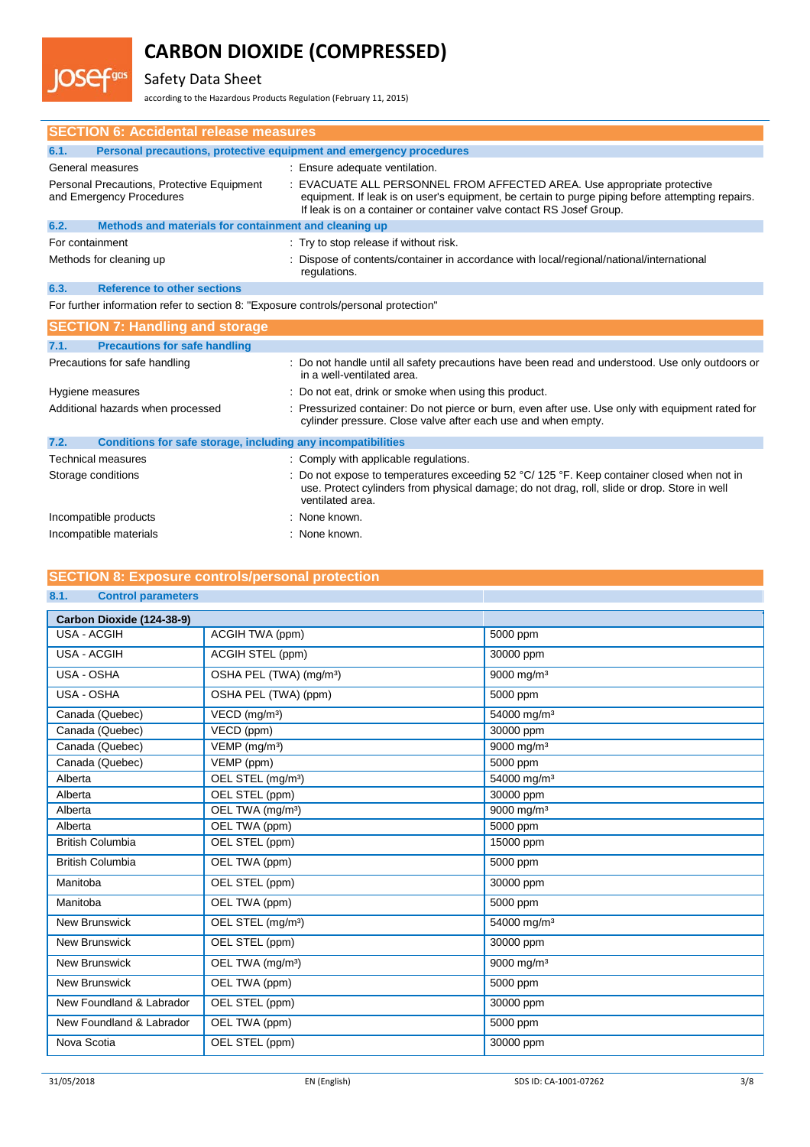# Safety Data Sheet

gas

according to the Hazardous Products Regulation (February 11, 2015)

|                                                                                     | <b>SECTION 6: Accidental release measures</b>                          |                                                                                                                                                                                                                                                     |  |
|-------------------------------------------------------------------------------------|------------------------------------------------------------------------|-----------------------------------------------------------------------------------------------------------------------------------------------------------------------------------------------------------------------------------------------------|--|
| 6.1.                                                                                | Personal precautions, protective equipment and emergency procedures    |                                                                                                                                                                                                                                                     |  |
|                                                                                     | General measures                                                       | : Ensure adequate ventilation.                                                                                                                                                                                                                      |  |
|                                                                                     | Personal Precautions, Protective Equipment<br>and Emergency Procedures | : EVACUATE ALL PERSONNEL FROM AFFECTED AREA. Use appropriate protective<br>equipment. If leak is on user's equipment, be certain to purge piping before attempting repairs.<br>If leak is on a container or container valve contact RS Josef Group. |  |
| 6.2.                                                                                | Methods and materials for containment and cleaning up                  |                                                                                                                                                                                                                                                     |  |
| For containment                                                                     |                                                                        | : Try to stop release if without risk.                                                                                                                                                                                                              |  |
|                                                                                     | Methods for cleaning up                                                | : Dispose of contents/container in accordance with local/regional/national/international<br>regulations.                                                                                                                                            |  |
| 6.3.                                                                                | <b>Reference to other sections</b>                                     |                                                                                                                                                                                                                                                     |  |
| For further information refer to section 8: "Exposure controls/personal protection" |                                                                        |                                                                                                                                                                                                                                                     |  |
|                                                                                     | <b>SECTION 7: Handling and storage</b>                                 |                                                                                                                                                                                                                                                     |  |
| 7.1.                                                                                | <b>Precautions for safe handling</b>                                   |                                                                                                                                                                                                                                                     |  |
|                                                                                     | Precautions for safe handling                                          | : Do not handle until all safety precautions have been read and understood. Use only outdoors or<br>in a well-ventilated area.                                                                                                                      |  |
|                                                                                     | Hygiene measures                                                       | : Do not eat, drink or smoke when using this product.                                                                                                                                                                                               |  |
|                                                                                     | Additional hazards when processed                                      | : Pressurized container: Do not pierce or burn, even after use. Use only with equipment rated for<br>cylinder pressure. Close valve after each use and when empty.                                                                                  |  |
| 7.2.                                                                                | Conditions for safe storage, including any incompatibilities           |                                                                                                                                                                                                                                                     |  |
|                                                                                     | <b>Technical measures</b>                                              | : Comply with applicable regulations.                                                                                                                                                                                                               |  |
|                                                                                     | Storage conditions                                                     | : Do not expose to temperatures exceeding $52 \text{ °C}$ / 125 °F. Keep container closed when not in<br>use. Protect cylinders from physical damage; do not drag, roll, slide or drop. Store in well<br>ventilated area.                           |  |
|                                                                                     | Incompatible products                                                  | : None known.                                                                                                                                                                                                                                       |  |
|                                                                                     | Incompatible materials                                                 | : None known.                                                                                                                                                                                                                                       |  |

# **SECTION 8: Exposure controls/personal protection**

## **8.1. Control parameters**

| Carbon Dioxide (124-38-9) |                                     |                          |
|---------------------------|-------------------------------------|--------------------------|
| <b>USA - ACGIH</b>        | ACGIH TWA (ppm)                     | 5000 ppm                 |
| <b>USA - ACGIH</b>        | ACGIH STEL (ppm)                    | 30000 ppm                |
| USA - OSHA                | OSHA PEL (TWA) (mg/m <sup>3</sup> ) | $9000$ mg/m <sup>3</sup> |
| USA - OSHA                | OSHA PEL (TWA) (ppm)                | 5000 ppm                 |
| Canada (Quebec)           | VECD (mg/m <sup>3</sup> )           | 54000 mg/m <sup>3</sup>  |
| Canada (Quebec)           | VECD (ppm)                          | 30000 ppm                |
| Canada (Quebec)           | VEMP (mg/m <sup>3</sup> )           | 9000 mg/m <sup>3</sup>   |
| Canada (Quebec)           | VEMP (ppm)                          | 5000 ppm                 |
| Alberta                   | OEL STEL (mg/m <sup>3</sup> )       | 54000 mg/m <sup>3</sup>  |
| Alberta                   | OEL STEL (ppm)                      | 30000 ppm                |
| Alberta                   | OEL TWA (mg/m <sup>3</sup> )        | 9000 mg/m <sup>3</sup>   |
| Alberta                   | OEL TWA (ppm)                       | 5000 ppm                 |
| <b>British Columbia</b>   | OEL STEL (ppm)                      | 15000 ppm                |
| <b>British Columbia</b>   | OEL TWA (ppm)                       | 5000 ppm                 |
| Manitoba                  | OEL STEL (ppm)                      | 30000 ppm                |
| Manitoba                  | OEL TWA (ppm)                       | 5000 ppm                 |
| <b>New Brunswick</b>      | OEL STEL (mg/m <sup>3</sup> )       | 54000 mg/m <sup>3</sup>  |
| <b>New Brunswick</b>      | OEL STEL (ppm)                      | 30000 ppm                |
| <b>New Brunswick</b>      | OEL TWA (mg/m <sup>3</sup> )        | 9000 mg/m <sup>3</sup>   |
| New Brunswick             | OEL TWA (ppm)                       | 5000 ppm                 |
| New Foundland & Labrador  | OEL STEL (ppm)                      | 30000 ppm                |
| New Foundland & Labrador  | OEL TWA (ppm)                       | 5000 ppm                 |
| Nova Scotia               | OEL STEL (ppm)                      | 30000 ppm                |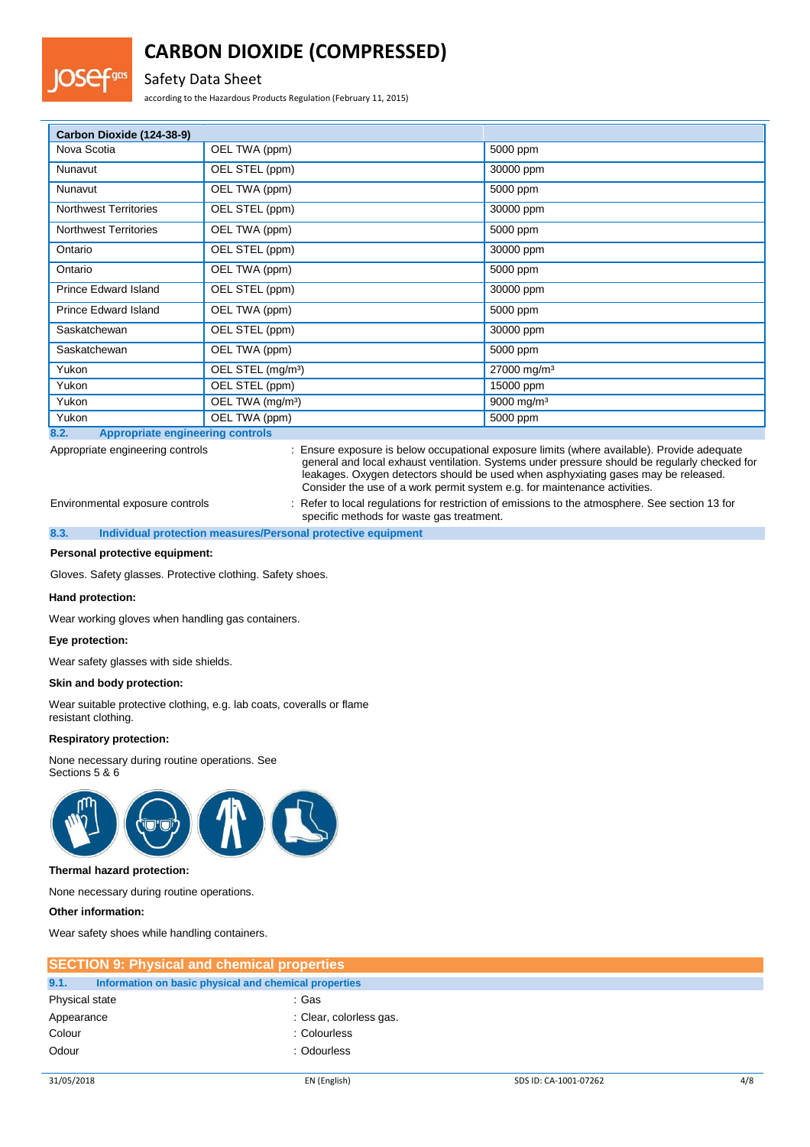# Safety Data Sheet

according to the Hazardous Products Regulation (February 11, 2015)

| Carbon Dioxide (124-38-9)    |                               |                         |
|------------------------------|-------------------------------|-------------------------|
| Nova Scotia                  | OEL TWA (ppm)                 | 5000 ppm                |
| Nunavut                      | OEL STEL (ppm)                | 30000 ppm               |
| Nunavut                      | OEL TWA (ppm)                 | 5000 ppm                |
| <b>Northwest Territories</b> | OEL STEL (ppm)                | 30000 ppm               |
| <b>Northwest Territories</b> | OEL TWA (ppm)                 | 5000 ppm                |
| Ontario                      | OEL STEL (ppm)                | 30000 ppm               |
| Ontario                      | OEL TWA (ppm)                 | 5000 ppm                |
| <b>Prince Edward Island</b>  | OEL STEL (ppm)                | 30000 ppm               |
| <b>Prince Edward Island</b>  | OEL TWA (ppm)                 | 5000 ppm                |
| Saskatchewan                 | OEL STEL (ppm)                | 30000 ppm               |
| Saskatchewan                 | OEL TWA (ppm)                 | 5000 ppm                |
| Yukon                        | OEL STEL (mg/m <sup>3</sup> ) | 27000 mg/m <sup>3</sup> |
| Yukon                        | OEL STEL (ppm)                | 15000 ppm               |
| Yukon                        | OEL TWA (mg/m <sup>3</sup> )  | 9000 mg/m <sup>3</sup>  |
| Yukon                        | OEL TWA (ppm)                 | 5000 ppm                |

**8.2. Appropriate engineering controls**

Appropriate engineering controls : Ensure exposure is below occupational exposure limits (where available). Provide adequate general and local exhaust ventilation. Systems under pressure should be regularly checked for leakages. Oxygen detectors should be used when asphyxiating gases may be released. Consider the use of a work permit system e.g. for maintenance activities.

Environmental exposure controls : Refer to local regulations for restriction of emissions to the atmosphere. See section 13 for specific methods for waste gas treatment.

**8.3. Individual protection measures/Personal protective equipment**

### **Personal protective equipment:**

Gloves. Safety glasses. Protective clothing. Safety shoes.

#### **Hand protection:**

Wear working gloves when handling gas containers.

#### **Eye protection:**

Wear safety glasses with side shields.

### **Skin and body protection:**

Wear suitable protective clothing, e.g. lab coats, coveralls or flame resistant clothing.

### **Respiratory protection:**

None necessary during routine operations. See Sections 5 & 6



### **Thermal hazard protection:**

None necessary during routine operations.

### **Other information:**

Wear safety shoes while handling containers.

| <b>SECTION 9: Physical and chemical properties</b> |                                                       |  |  |
|----------------------------------------------------|-------------------------------------------------------|--|--|
| 9.1.                                               | Information on basic physical and chemical properties |  |  |
| Physical state                                     | : Gas                                                 |  |  |
| Appearance                                         | : Clear, colorless gas.                               |  |  |
| Colour                                             | : Colourless                                          |  |  |
| Odour                                              | : Odourless                                           |  |  |
|                                                    |                                                       |  |  |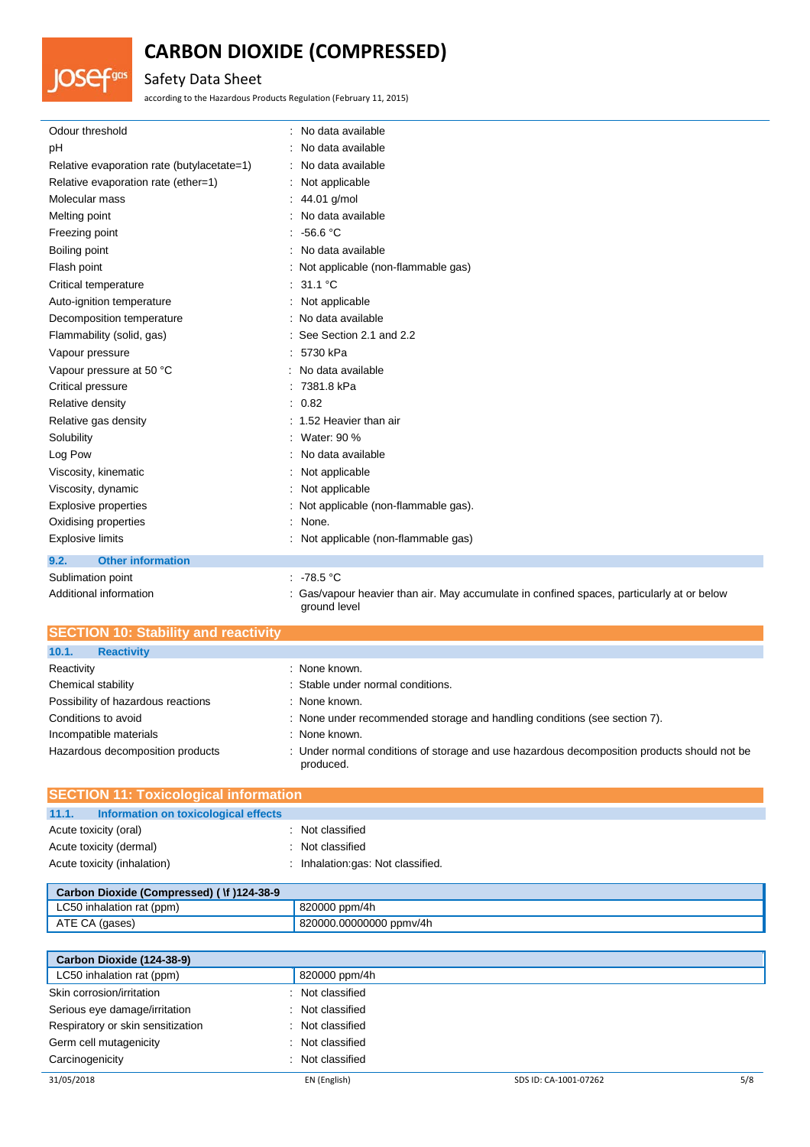# Safety Data Sheet

OSef

Fgas

according to the Hazardous Products Regulation (February 11, 2015)

| Odour threshold                            | : No data available                   |
|--------------------------------------------|---------------------------------------|
| рH                                         | : No data available                   |
| Relative evaporation rate (butylacetate=1) | : No data available                   |
| Relative evaporation rate (ether=1)        | : Not applicable                      |
| Molecular mass                             | : $44.01$ g/mol                       |
| Melting point                              | : No data available                   |
| Freezing point                             | $-56.6 °C$<br>÷.                      |
| Boiling point                              | : No data available                   |
| Flash point                                | : Not applicable (non-flammable gas)  |
| Critical temperature                       | : 31.1 °C                             |
| Auto-ignition temperature                  | : Not applicable                      |
| Decomposition temperature                  | : No data available                   |
| Flammability (solid, gas)                  | : See Section 2.1 and 2.2             |
| Vapour pressure                            | : 5730 kPa                            |
| Vapour pressure at 50 °C                   | : No data available                   |
| Critical pressure                          | : 7381.8 kPa                          |
| Relative density                           | : 0.82                                |
| Relative gas density                       | : 1.52 Heavier than air               |
| Solubility                                 | Water: 90 %                           |
| Log Pow                                    | No data available                     |
| Viscosity, kinematic                       | : Not applicable                      |
| Viscosity, dynamic                         | : Not applicable                      |
| <b>Explosive properties</b>                | : Not applicable (non-flammable gas). |
| Oxidising properties                       | : None.                               |
| <b>Explosive limits</b>                    | : Not applicable (non-flammable gas)  |
| <b>Other information</b><br>9.2.           |                                       |
| Sublimation point                          | : 78.5 °C                             |

Additional information **incomation** : Gas/vapour heavier than air. May accumulate in confined spaces, particularly at or below ground level

| <b>SECTION 10: Stability and reactivity</b> |                                                                                                          |
|---------------------------------------------|----------------------------------------------------------------------------------------------------------|
| 10.1.<br><b>Reactivity</b>                  |                                                                                                          |
| Reactivity                                  | : None known.                                                                                            |
| Chemical stability                          | : Stable under normal conditions.                                                                        |
| Possibility of hazardous reactions          | : None known.                                                                                            |
| Conditions to avoid                         | : None under recommended storage and handling conditions (see section 7).                                |
| Incompatible materials                      | : None known.                                                                                            |
| Hazardous decomposition products            | : Under normal conditions of storage and use hazardous decomposition products should not be<br>produced. |

| <b>SECTION 11: Toxicological information</b>  |                                   |  |  |
|-----------------------------------------------|-----------------------------------|--|--|
| 11.1.<br>Information on toxicological effects |                                   |  |  |
| Acute toxicity (oral)                         | : Not classified                  |  |  |
| Acute toxicity (dermal)                       | : Not classified                  |  |  |
| Acute toxicity (inhalation)                   | : Inhalation:gas: Not classified. |  |  |

| Carbon Dioxide (Compressed) ( \f )124-38-9 |                         |  |
|--------------------------------------------|-------------------------|--|
| LC50 inhalation rat (ppm)                  | 820000 ppm/4h           |  |
| ATE CA (gases)                             | 820000.00000000 ppmv/4h |  |

| Carbon Dioxide (124-38-9)         |                  |                       |     |
|-----------------------------------|------------------|-----------------------|-----|
| LC50 inhalation rat (ppm)         | 820000 ppm/4h    |                       |     |
| Skin corrosion/irritation         | : Not classified |                       |     |
| Serious eye damage/irritation     | : Not classified |                       |     |
| Respiratory or skin sensitization | : Not classified |                       |     |
| Germ cell mutagenicity            | : Not classified |                       |     |
| Carcinogenicity                   | : Not classified |                       |     |
| 31/05/2018                        | EN (English)     | SDS ID: CA-1001-07262 | 5/8 |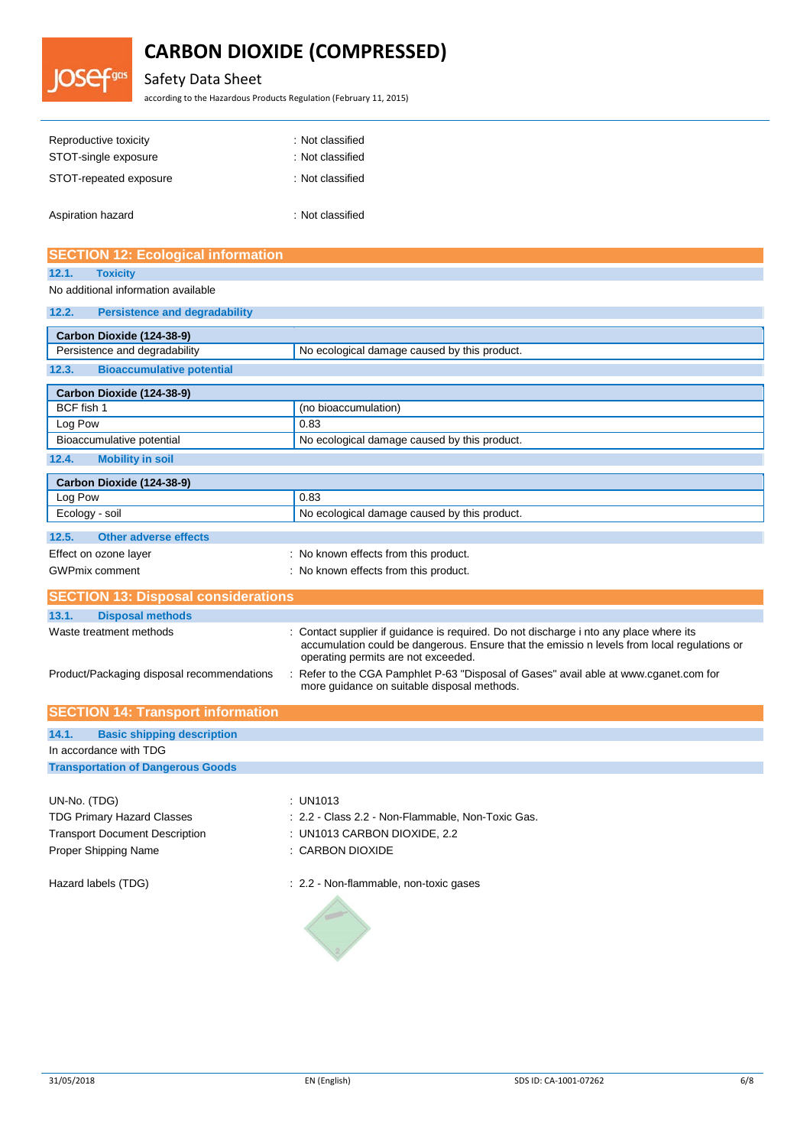# Safety Data Sheet

**DSef<sup>gas</sup>** 

according to the Hazardous Products Regulation (February 11, 2015)

| Reproductive toxicity<br>STOT-single exposure | : Not classified<br>: Not classified |
|-----------------------------------------------|--------------------------------------|
| STOT-repeated exposure                        | : Not classified                     |
| Aspiration hazard                             | : Not classified                     |

| <b>SECTION 12: Ecological information</b>     |                                                                                                                                                                                                                            |  |  |  |
|-----------------------------------------------|----------------------------------------------------------------------------------------------------------------------------------------------------------------------------------------------------------------------------|--|--|--|
| 12.1.<br><b>Toxicity</b>                      |                                                                                                                                                                                                                            |  |  |  |
| No additional information available           |                                                                                                                                                                                                                            |  |  |  |
| 12.2.<br><b>Persistence and degradability</b> |                                                                                                                                                                                                                            |  |  |  |
| Carbon Dioxide (124-38-9)                     |                                                                                                                                                                                                                            |  |  |  |
| Persistence and degradability                 | No ecological damage caused by this product.                                                                                                                                                                               |  |  |  |
| 12.3.<br><b>Bioaccumulative potential</b>     |                                                                                                                                                                                                                            |  |  |  |
| Carbon Dioxide (124-38-9)                     |                                                                                                                                                                                                                            |  |  |  |
| BCF fish 1                                    | (no bioaccumulation)                                                                                                                                                                                                       |  |  |  |
| Log Pow                                       | 0.83                                                                                                                                                                                                                       |  |  |  |
| Bioaccumulative potential                     | No ecological damage caused by this product.                                                                                                                                                                               |  |  |  |
| 12.4.<br><b>Mobility in soil</b>              |                                                                                                                                                                                                                            |  |  |  |
| Carbon Dioxide (124-38-9)                     |                                                                                                                                                                                                                            |  |  |  |
| Log Pow                                       | 0.83                                                                                                                                                                                                                       |  |  |  |
| Ecology - soil                                | No ecological damage caused by this product.                                                                                                                                                                               |  |  |  |
| 12.5.<br><b>Other adverse effects</b>         |                                                                                                                                                                                                                            |  |  |  |
| Effect on ozone layer                         | : No known effects from this product.                                                                                                                                                                                      |  |  |  |
| <b>GWPmix comment</b>                         | : No known effects from this product.                                                                                                                                                                                      |  |  |  |
| <b>SECTION 13: Disposal considerations</b>    |                                                                                                                                                                                                                            |  |  |  |
| 13.1.<br><b>Disposal methods</b>              |                                                                                                                                                                                                                            |  |  |  |
| Waste treatment methods                       | Contact supplier if guidance is required. Do not discharge i nto any place where its<br>accumulation could be dangerous. Ensure that the emissio n levels from local regulations or<br>operating permits are not exceeded. |  |  |  |
| Product/Packaging disposal recommendations    | Refer to the CGA Pamphlet P-63 "Disposal of Gases" avail able at www.cganet.com for<br>more guidance on suitable disposal methods.                                                                                         |  |  |  |
| <b>SECTION 14: Transport information</b>      |                                                                                                                                                                                                                            |  |  |  |
| 14.1.<br><b>Basic shipping description</b>    |                                                                                                                                                                                                                            |  |  |  |
| In accordance with TDG                        |                                                                                                                                                                                                                            |  |  |  |
| <b>Transportation of Dangerous Goods</b>      |                                                                                                                                                                                                                            |  |  |  |
|                                               |                                                                                                                                                                                                                            |  |  |  |
| UN-No. (TDG)                                  | : UN1013                                                                                                                                                                                                                   |  |  |  |
| <b>TDG Primary Hazard Classes</b>             | : 2.2 - Class 2.2 - Non-Flammable, Non-Toxic Gas.                                                                                                                                                                          |  |  |  |
| <b>Transport Document Description</b>         | : UN1013 CARBON DIOXIDE, 2.2<br>: CARBON DIOXIDE                                                                                                                                                                           |  |  |  |
| Proper Shipping Name                          |                                                                                                                                                                                                                            |  |  |  |
| Hazard labels (TDG)                           | : 2.2 - Non-flammable, non-toxic gases                                                                                                                                                                                     |  |  |  |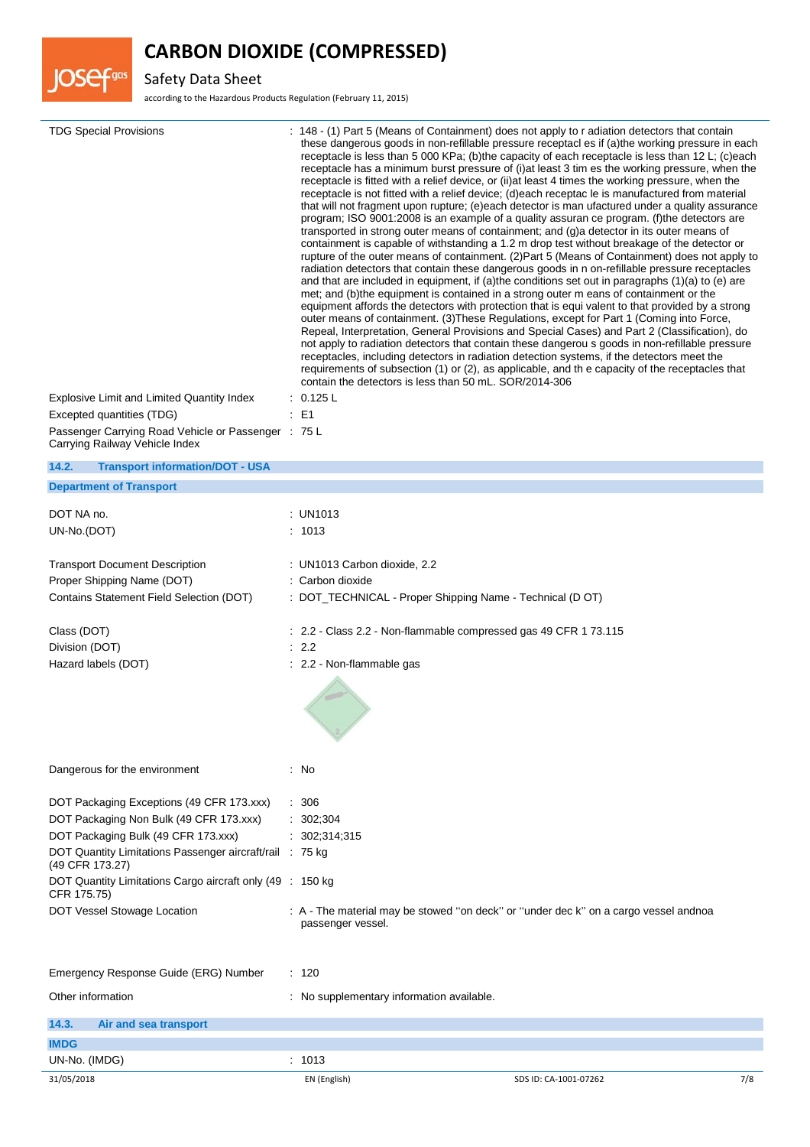

Safety Data Sheet

**JOSef**gas

according to the Hazardous Products Regulation (February 11, 2015)

| <b>TDG Special Provisions</b><br>Explosive Limit and Limited Quantity Index<br>Excepted quantities (TDG)<br>Passenger Carrying Road Vehicle or Passenger : 75 L<br>Carrying Railway Vehicle Index | transported in strong outer means of containment; and (g)a detector in its outer means of<br>met; and (b) the equipment is contained in a strong outer m eans of containment or the<br>outer means of containment. (3) These Regulations, except for Part 1 (Coming into Force,<br>receptacles, including detectors in radiation detection systems, if the detectors meet the<br>contain the detectors is less than 50 mL. SOR/2014-306<br>: 0.125 L<br>: E1 | : 148 - (1) Part 5 (Means of Containment) does not apply to r adiation detectors that contain<br>these dangerous goods in non-refillable pressure receptacl es if (a)the working pressure in each<br>receptacle is less than 5 000 KPa; (b)the capacity of each receptacle is less than 12 L; (c)each<br>receptacle has a minimum burst pressure of (i) at least 3 tim es the working pressure, when the<br>receptacle is fitted with a relief device, or (ii) at least 4 times the working pressure, when the<br>receptacle is not fitted with a relief device; (d)each receptac le is manufactured from material<br>that will not fragment upon rupture; (e)each detector is man ufactured under a quality assurance<br>program; ISO 9001:2008 is an example of a quality assuran ce program. (f)the detectors are<br>containment is capable of withstanding a 1.2 m drop test without breakage of the detector or<br>rupture of the outer means of containment. (2)Part 5 (Means of Containment) does not apply to<br>radiation detectors that contain these dangerous goods in n on-refillable pressure receptacles<br>and that are included in equipment, if (a)the conditions set out in paragraphs (1)(a) to (e) are<br>equipment affords the detectors with protection that is equi valent to that provided by a strong<br>Repeal, Interpretation, General Provisions and Special Cases) and Part 2 (Classification), do<br>not apply to radiation detectors that contain these dangerou s goods in non-refillable pressure<br>requirements of subsection (1) or (2), as applicable, and th e capacity of the receptacles that |     |
|---------------------------------------------------------------------------------------------------------------------------------------------------------------------------------------------------|--------------------------------------------------------------------------------------------------------------------------------------------------------------------------------------------------------------------------------------------------------------------------------------------------------------------------------------------------------------------------------------------------------------------------------------------------------------|----------------------------------------------------------------------------------------------------------------------------------------------------------------------------------------------------------------------------------------------------------------------------------------------------------------------------------------------------------------------------------------------------------------------------------------------------------------------------------------------------------------------------------------------------------------------------------------------------------------------------------------------------------------------------------------------------------------------------------------------------------------------------------------------------------------------------------------------------------------------------------------------------------------------------------------------------------------------------------------------------------------------------------------------------------------------------------------------------------------------------------------------------------------------------------------------------------------------------------------------------------------------------------------------------------------------------------------------------------------------------------------------------------------------------------------------------------------------------------------------------------------------------------------------------------------------------------------------------------------------------------------|-----|
| 14.2.<br><b>Transport information/DOT - USA</b>                                                                                                                                                   |                                                                                                                                                                                                                                                                                                                                                                                                                                                              |                                                                                                                                                                                                                                                                                                                                                                                                                                                                                                                                                                                                                                                                                                                                                                                                                                                                                                                                                                                                                                                                                                                                                                                                                                                                                                                                                                                                                                                                                                                                                                                                                                        |     |
| <b>Department of Transport</b>                                                                                                                                                                    |                                                                                                                                                                                                                                                                                                                                                                                                                                                              |                                                                                                                                                                                                                                                                                                                                                                                                                                                                                                                                                                                                                                                                                                                                                                                                                                                                                                                                                                                                                                                                                                                                                                                                                                                                                                                                                                                                                                                                                                                                                                                                                                        |     |
|                                                                                                                                                                                                   |                                                                                                                                                                                                                                                                                                                                                                                                                                                              |                                                                                                                                                                                                                                                                                                                                                                                                                                                                                                                                                                                                                                                                                                                                                                                                                                                                                                                                                                                                                                                                                                                                                                                                                                                                                                                                                                                                                                                                                                                                                                                                                                        |     |
| DOT NA no.                                                                                                                                                                                        | : UN1013                                                                                                                                                                                                                                                                                                                                                                                                                                                     |                                                                                                                                                                                                                                                                                                                                                                                                                                                                                                                                                                                                                                                                                                                                                                                                                                                                                                                                                                                                                                                                                                                                                                                                                                                                                                                                                                                                                                                                                                                                                                                                                                        |     |
| UN-No.(DOT)                                                                                                                                                                                       | : 1013                                                                                                                                                                                                                                                                                                                                                                                                                                                       |                                                                                                                                                                                                                                                                                                                                                                                                                                                                                                                                                                                                                                                                                                                                                                                                                                                                                                                                                                                                                                                                                                                                                                                                                                                                                                                                                                                                                                                                                                                                                                                                                                        |     |
| <b>Transport Document Description</b>                                                                                                                                                             | : UN1013 Carbon dioxide, 2.2                                                                                                                                                                                                                                                                                                                                                                                                                                 |                                                                                                                                                                                                                                                                                                                                                                                                                                                                                                                                                                                                                                                                                                                                                                                                                                                                                                                                                                                                                                                                                                                                                                                                                                                                                                                                                                                                                                                                                                                                                                                                                                        |     |
| Proper Shipping Name (DOT)                                                                                                                                                                        | : Carbon dioxide                                                                                                                                                                                                                                                                                                                                                                                                                                             |                                                                                                                                                                                                                                                                                                                                                                                                                                                                                                                                                                                                                                                                                                                                                                                                                                                                                                                                                                                                                                                                                                                                                                                                                                                                                                                                                                                                                                                                                                                                                                                                                                        |     |
| Contains Statement Field Selection (DOT)                                                                                                                                                          | : DOT_TECHNICAL - Proper Shipping Name - Technical (D OT)                                                                                                                                                                                                                                                                                                                                                                                                    |                                                                                                                                                                                                                                                                                                                                                                                                                                                                                                                                                                                                                                                                                                                                                                                                                                                                                                                                                                                                                                                                                                                                                                                                                                                                                                                                                                                                                                                                                                                                                                                                                                        |     |
|                                                                                                                                                                                                   |                                                                                                                                                                                                                                                                                                                                                                                                                                                              |                                                                                                                                                                                                                                                                                                                                                                                                                                                                                                                                                                                                                                                                                                                                                                                                                                                                                                                                                                                                                                                                                                                                                                                                                                                                                                                                                                                                                                                                                                                                                                                                                                        |     |
| Class (DOT)                                                                                                                                                                                       | : 2.2 - Class 2.2 - Non-flammable compressed gas 49 CFR 1 73.115                                                                                                                                                                                                                                                                                                                                                                                             |                                                                                                                                                                                                                                                                                                                                                                                                                                                                                                                                                                                                                                                                                                                                                                                                                                                                                                                                                                                                                                                                                                                                                                                                                                                                                                                                                                                                                                                                                                                                                                                                                                        |     |
| Division (DOT)                                                                                                                                                                                    | : 2.2                                                                                                                                                                                                                                                                                                                                                                                                                                                        |                                                                                                                                                                                                                                                                                                                                                                                                                                                                                                                                                                                                                                                                                                                                                                                                                                                                                                                                                                                                                                                                                                                                                                                                                                                                                                                                                                                                                                                                                                                                                                                                                                        |     |
| Hazard labels (DOT)                                                                                                                                                                               | : 2.2 - Non-flammable gas                                                                                                                                                                                                                                                                                                                                                                                                                                    |                                                                                                                                                                                                                                                                                                                                                                                                                                                                                                                                                                                                                                                                                                                                                                                                                                                                                                                                                                                                                                                                                                                                                                                                                                                                                                                                                                                                                                                                                                                                                                                                                                        |     |
| Dangerous for the environment                                                                                                                                                                     | : No                                                                                                                                                                                                                                                                                                                                                                                                                                                         |                                                                                                                                                                                                                                                                                                                                                                                                                                                                                                                                                                                                                                                                                                                                                                                                                                                                                                                                                                                                                                                                                                                                                                                                                                                                                                                                                                                                                                                                                                                                                                                                                                        |     |
| DOT Packaging Exceptions (49 CFR 173.xxx)                                                                                                                                                         | : 306                                                                                                                                                                                                                                                                                                                                                                                                                                                        |                                                                                                                                                                                                                                                                                                                                                                                                                                                                                                                                                                                                                                                                                                                                                                                                                                                                                                                                                                                                                                                                                                                                                                                                                                                                                                                                                                                                                                                                                                                                                                                                                                        |     |
| DOT Packaging Non Bulk (49 CFR 173.xxx)                                                                                                                                                           | : 302;304                                                                                                                                                                                                                                                                                                                                                                                                                                                    |                                                                                                                                                                                                                                                                                                                                                                                                                                                                                                                                                                                                                                                                                                                                                                                                                                                                                                                                                                                                                                                                                                                                                                                                                                                                                                                                                                                                                                                                                                                                                                                                                                        |     |
| DOT Packaging Bulk (49 CFR 173.xxx)                                                                                                                                                               | : 302; 314; 315                                                                                                                                                                                                                                                                                                                                                                                                                                              |                                                                                                                                                                                                                                                                                                                                                                                                                                                                                                                                                                                                                                                                                                                                                                                                                                                                                                                                                                                                                                                                                                                                                                                                                                                                                                                                                                                                                                                                                                                                                                                                                                        |     |
| DOT Quantity Limitations Passenger aircraft/rail : 75 kg<br>(49 CFR 173.27)                                                                                                                       |                                                                                                                                                                                                                                                                                                                                                                                                                                                              |                                                                                                                                                                                                                                                                                                                                                                                                                                                                                                                                                                                                                                                                                                                                                                                                                                                                                                                                                                                                                                                                                                                                                                                                                                                                                                                                                                                                                                                                                                                                                                                                                                        |     |
| DOT Quantity Limitations Cargo aircraft only (49 : 150 kg)<br>CFR 175.75)                                                                                                                         |                                                                                                                                                                                                                                                                                                                                                                                                                                                              |                                                                                                                                                                                                                                                                                                                                                                                                                                                                                                                                                                                                                                                                                                                                                                                                                                                                                                                                                                                                                                                                                                                                                                                                                                                                                                                                                                                                                                                                                                                                                                                                                                        |     |
| DOT Vessel Stowage Location                                                                                                                                                                       | : A - The material may be stowed "on deck" or "under dec k" on a cargo vessel andnoa                                                                                                                                                                                                                                                                                                                                                                         |                                                                                                                                                                                                                                                                                                                                                                                                                                                                                                                                                                                                                                                                                                                                                                                                                                                                                                                                                                                                                                                                                                                                                                                                                                                                                                                                                                                                                                                                                                                                                                                                                                        |     |
|                                                                                                                                                                                                   | passenger vessel.                                                                                                                                                                                                                                                                                                                                                                                                                                            |                                                                                                                                                                                                                                                                                                                                                                                                                                                                                                                                                                                                                                                                                                                                                                                                                                                                                                                                                                                                                                                                                                                                                                                                                                                                                                                                                                                                                                                                                                                                                                                                                                        |     |
| Emergency Response Guide (ERG) Number                                                                                                                                                             | : 120                                                                                                                                                                                                                                                                                                                                                                                                                                                        |                                                                                                                                                                                                                                                                                                                                                                                                                                                                                                                                                                                                                                                                                                                                                                                                                                                                                                                                                                                                                                                                                                                                                                                                                                                                                                                                                                                                                                                                                                                                                                                                                                        |     |
| Other information                                                                                                                                                                                 | : No supplementary information available.                                                                                                                                                                                                                                                                                                                                                                                                                    |                                                                                                                                                                                                                                                                                                                                                                                                                                                                                                                                                                                                                                                                                                                                                                                                                                                                                                                                                                                                                                                                                                                                                                                                                                                                                                                                                                                                                                                                                                                                                                                                                                        |     |
| 14.3.<br>Air and sea transport                                                                                                                                                                    |                                                                                                                                                                                                                                                                                                                                                                                                                                                              |                                                                                                                                                                                                                                                                                                                                                                                                                                                                                                                                                                                                                                                                                                                                                                                                                                                                                                                                                                                                                                                                                                                                                                                                                                                                                                                                                                                                                                                                                                                                                                                                                                        |     |
| <b>IMDG</b>                                                                                                                                                                                       |                                                                                                                                                                                                                                                                                                                                                                                                                                                              |                                                                                                                                                                                                                                                                                                                                                                                                                                                                                                                                                                                                                                                                                                                                                                                                                                                                                                                                                                                                                                                                                                                                                                                                                                                                                                                                                                                                                                                                                                                                                                                                                                        |     |
| UN-No. (IMDG)                                                                                                                                                                                     | : 1013                                                                                                                                                                                                                                                                                                                                                                                                                                                       |                                                                                                                                                                                                                                                                                                                                                                                                                                                                                                                                                                                                                                                                                                                                                                                                                                                                                                                                                                                                                                                                                                                                                                                                                                                                                                                                                                                                                                                                                                                                                                                                                                        |     |
| 31/05/2018                                                                                                                                                                                        | EN (English)                                                                                                                                                                                                                                                                                                                                                                                                                                                 | SDS ID: CA-1001-07262                                                                                                                                                                                                                                                                                                                                                                                                                                                                                                                                                                                                                                                                                                                                                                                                                                                                                                                                                                                                                                                                                                                                                                                                                                                                                                                                                                                                                                                                                                                                                                                                                  | 7/8 |